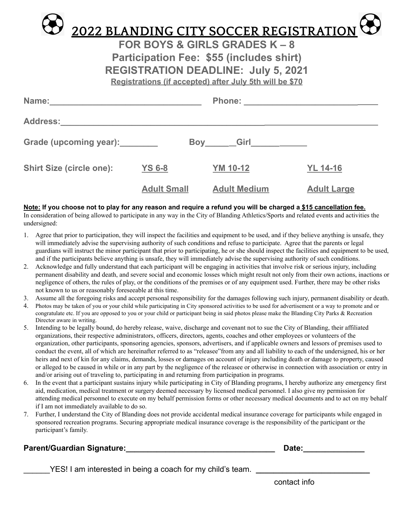

**FOR BOYS & GIRLS GRADES K – 8 Participation Fee: \$55 (includes shirt) REGISTRATION DEADLINE: July 5, 2021 Registrations (if accepted) after July 5th will be \$70**

| Name:                              |                    | <b>Phone:</b>       |                    |
|------------------------------------|--------------------|---------------------|--------------------|
| Address: _________________________ |                    |                     |                    |
| Grade (upcoming year): ________    | Boy                |                     |                    |
| <b>Shirt Size (circle one):</b>    | <b>YS 6-8</b>      | <b>YM 10-12</b>     | <b>YL 14-16</b>    |
|                                    | <b>Adult Small</b> | <b>Adult Medium</b> | <b>Adult Large</b> |

## Note: If you choose not to play for any reason and require a refund you will be charged a \$15 cancellation fee.

In consideration of being allowed to participate in any way in the City of Blanding Athletics/Sports and related events and activities the undersigned:

- 1. Agree that prior to participation, they will inspect the facilities and equipment to be used, and if they believe anything is unsafe, they will immediately advise the supervising authority of such conditions and refuse to participate. Agree that the parents or legal guardians will instruct the minor participant that prior to participating, he or she should inspect the facilities and equipment to be used, and if the participants believe anything is unsafe, they will immediately advise the supervising authority of such conditions.
- 2. Acknowledge and fully understand that each participant will be engaging in activities that involve risk or serious injury, including permanent disability and death, and severe social and economic losses which might result not only from their own actions, inactions or negligence of others, the rules of play, or the conditions of the premises or of any equipment used. Further, there may be other risks not known to us or reasonably foreseeable at this time.
- 3. Assume all the foregoing risks and accept personal responsibility for the damages following such injury, permanent disability or death.
- 4. Photos may be taken of you or your child while participating in City sponsored activities to be used for advertisement or a way to promote and or congratulate etc. If you are opposed to you or your child or participant being in said photos please make the Blanding City Parks & Recreation Director aware in writing.
- 5. Intending to be legally bound, do hereby release, waive, discharge and covenant not to sue the City of Blanding, their affiliated organizations, their respective administrators, officers, directors, agents, coaches and other employees or volunteers of the organization, other participants, sponsoring agencies, sponsors, advertisers, and if applicable owners and lessors of premises used to conduct the event, all of which are hereinafter referred to as "releasee"from any and all liability to each of the undersigned, his or her heirs and next of kin for any claims, demands, losses or damages on account of injury including death or damage to property, caused or alleged to be caused in while or in any part by the negligence of the releasee or otherwise in connection with association or entry in and/or arising out of traveling to, participating in and returning from participation in programs.
- 6. In the event that a participant sustains injury while participating in City of Blanding programs, I hereby authorize any emergency first aid, medication, medical treatment or surgery deemed necessary by licensed medical personnel. I also give my permission for attending medical personnel to execute on my behalf permission forms or other necessary medical documents and to act on my behalf if I am not immediately available to do so.
- 7. Further, I understand the City of Blanding does not provide accidental medical insurance coverage for participants while engaged in sponsored recreation programs. Securing appropriate medical insurance coverage is the responsibility of the participant or the participant's family.

## **Parent/Guardian Signature:\_\_\_\_\_\_\_\_\_\_\_\_\_\_\_\_\_\_\_\_\_\_\_\_\_\_\_\_\_\_\_\_\_\_ Date:\_\_\_\_\_\_\_\_\_\_\_\_\_\_**

YES! I am interested in being a coach for my child's team.

contact info